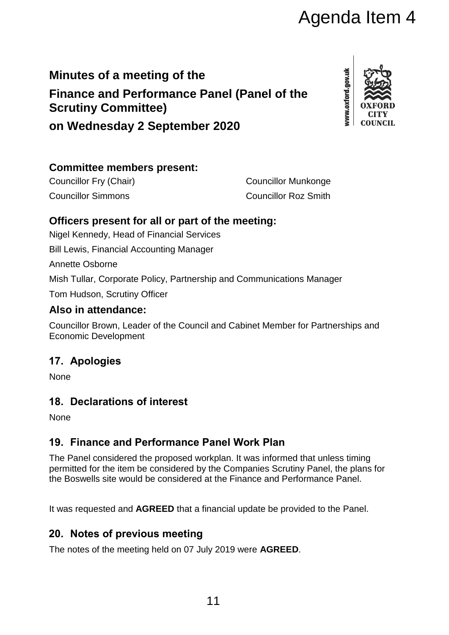# **Minutes of a meeting of the Finance and Performance Panel (Panel of the Scrutiny Committee)**

**on Wednesday 2 September 2020**

# **Committee members present:**

Councillor Fry (Chair) Councillor Munkonge Councillor Simmons Councillor Roz Smith

# **Officers present for all or part of the meeting:**

Nigel Kennedy, Head of Financial Services

Bill Lewis, Financial Accounting Manager

Annette Osborne

Mish Tullar, Corporate Policy, Partnership and Communications Manager

Tom Hudson, Scrutiny Officer

# **Also in attendance:**

Councillor Brown, Leader of the Council and Cabinet Member for Partnerships and Economic Development

# **17. Apologies**

**None** 

# **18. Declarations of interest**

**None** 

# **19. Finance and Performance Panel Work Plan**

The Panel considered the proposed workplan. It was informed that unless timing permitted for the item be considered by the Companies Scrutiny Panel, the plans for the Boswells site would be considered at the Finance and Performance Panel. Agenda Item 4<br>
anel (Panel of the<br>
12020<br>
2020<br>
2020<br>
2020<br>
2020<br>
2020<br>
2020<br>
2020<br>
2020<br>
2020<br>
2020<br>
2020<br>
2020<br>
2020<br>
2020<br>
2020<br>
2020<br>
2020<br>
2020<br>
2020<br>
2020<br>
2020<br>
2020<br>
2020<br>
2020<br>
2020<br>
2020<br>
2020<br>
2020<br>
2020<br>
2020<br>

It was requested and **AGREED** that a financial update be provided to the Panel.

# **20. Notes of previous meeting**

The notes of the meeting held on 07 July 2019 were **AGREED**.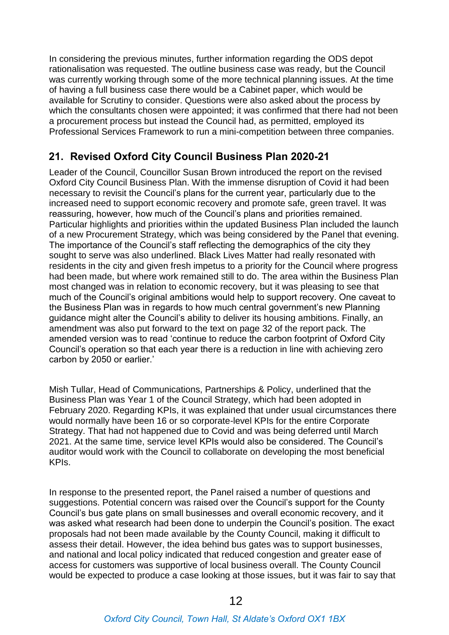In considering the previous minutes, further information regarding the ODS depot rationalisation was requested. The outline business case was ready, but the Council was currently working through some of the more technical planning issues. At the time of having a full business case there would be a Cabinet paper, which would be available for Scrutiny to consider. Questions were also asked about the process by which the consultants chosen were appointed; it was confirmed that there had not been a procurement process but instead the Council had, as permitted, employed its Professional Services Framework to run a mini-competition between three companies.

# **21. Revised Oxford City Council Business Plan 2020-21**

Leader of the Council, Councillor Susan Brown introduced the report on the revised Oxford City Council Business Plan. With the immense disruption of Covid it had been necessary to revisit the Council's plans for the current year, particularly due to the increased need to support economic recovery and promote safe, green travel. It was reassuring, however, how much of the Council's plans and priorities remained. Particular highlights and priorities within the updated Business Plan included the launch of a new Procurement Strategy, which was being considered by the Panel that evening. The importance of the Council's staff reflecting the demographics of the city they sought to serve was also underlined. Black Lives Matter had really resonated with residents in the city and given fresh impetus to a priority for the Council where progress had been made, but where work remained still to do. The area within the Business Plan most changed was in relation to economic recovery, but it was pleasing to see that much of the Council's original ambitions would help to support recovery. One caveat to the Business Plan was in regards to how much central government's new Planning guidance might alter the Council's ability to deliver its housing ambitions. Finally, an amendment was also put forward to the text on page 32 of the report pack. The amended version was to read 'continue to reduce the carbon footprint of Oxford City Council's operation so that each year there is a reduction in line with achieving zero carbon by 2050 or earlier.'

Mish Tullar, Head of Communications, Partnerships & Policy, underlined that the Business Plan was Year 1 of the Council Strategy, which had been adopted in February 2020. Regarding KPIs, it was explained that under usual circumstances there would normally have been 16 or so corporate-level KPIs for the entire Corporate Strategy. That had not happened due to Covid and was being deferred until March 2021. At the same time, service level KPIs would also be considered. The Council's auditor would work with the Council to collaborate on developing the most beneficial KPIs.

In response to the presented report, the Panel raised a number of questions and suggestions. Potential concern was raised over the Council's support for the County Council's bus gate plans on small businesses and overall economic recovery, and it was asked what research had been done to underpin the Council's position. The exact proposals had not been made available by the County Council, making it difficult to assess their detail. However, the idea behind bus gates was to support businesses, and national and local policy indicated that reduced congestion and greater ease of access for customers was supportive of local business overall. The County Council would be expected to produce a case looking at those issues, but it was fair to say that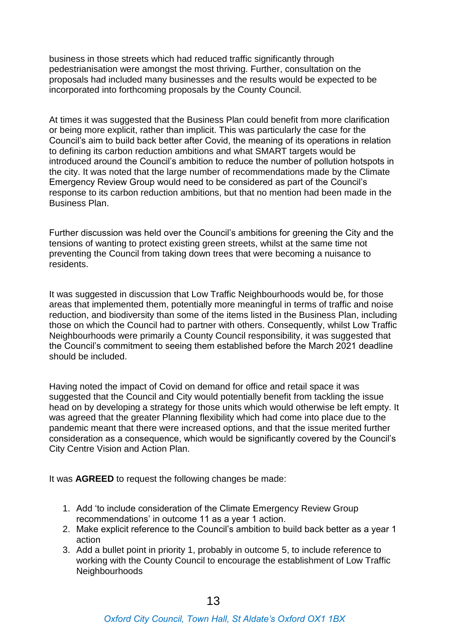business in those streets which had reduced traffic significantly through pedestrianisation were amongst the most thriving. Further, consultation on the proposals had included many businesses and the results would be expected to be incorporated into forthcoming proposals by the County Council.

At times it was suggested that the Business Plan could benefit from more clarification or being more explicit, rather than implicit. This was particularly the case for the Council's aim to build back better after Covid, the meaning of its operations in relation to defining its carbon reduction ambitions and what SMART targets would be introduced around the Council's ambition to reduce the number of pollution hotspots in the city. It was noted that the large number of recommendations made by the Climate Emergency Review Group would need to be considered as part of the Council's response to its carbon reduction ambitions, but that no mention had been made in the Business Plan.

Further discussion was held over the Council's ambitions for greening the City and the tensions of wanting to protect existing green streets, whilst at the same time not preventing the Council from taking down trees that were becoming a nuisance to residents.

It was suggested in discussion that Low Traffic Neighbourhoods would be, for those areas that implemented them, potentially more meaningful in terms of traffic and noise reduction, and biodiversity than some of the items listed in the Business Plan, including those on which the Council had to partner with others. Consequently, whilst Low Traffic Neighbourhoods were primarily a County Council responsibility, it was suggested that the Council's commitment to seeing them established before the March 2021 deadline should be included.

Having noted the impact of Covid on demand for office and retail space it was suggested that the Council and City would potentially benefit from tackling the issue head on by developing a strategy for those units which would otherwise be left empty. It was agreed that the greater Planning flexibility which had come into place due to the pandemic meant that there were increased options, and that the issue merited further consideration as a consequence, which would be significantly covered by the Council's City Centre Vision and Action Plan.

It was **AGREED** to request the following changes be made:

- 1. Add 'to include consideration of the Climate Emergency Review Group recommendations' in outcome 11 as a year 1 action.
- 2. Make explicit reference to the Council's ambition to build back better as a year 1 action
- 3. Add a bullet point in priority 1, probably in outcome 5, to include reference to working with the County Council to encourage the establishment of Low Traffic **Neighbourhoods**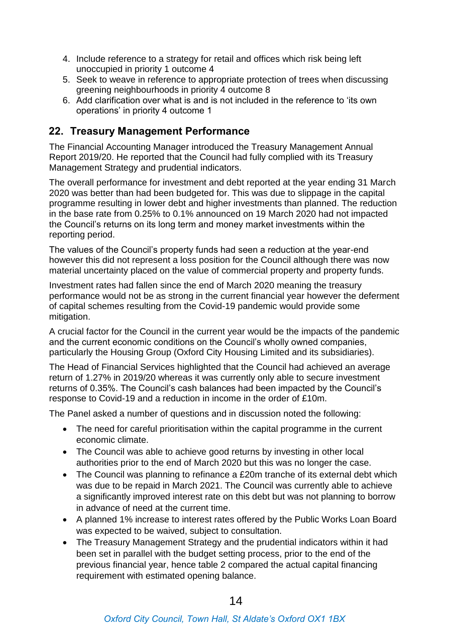- 4. Include reference to a strategy for retail and offices which risk being left unoccupied in priority 1 outcome 4
- 5. Seek to weave in reference to appropriate protection of trees when discussing greening neighbourhoods in priority 4 outcome 8
- 6. Add clarification over what is and is not included in the reference to 'its own operations' in priority 4 outcome 1

#### **22. Treasury Management Performance**

The Financial Accounting Manager introduced the Treasury Management Annual Report 2019/20. He reported that the Council had fully complied with its Treasury Management Strategy and prudential indicators.

The overall performance for investment and debt reported at the year ending 31 March 2020 was better than had been budgeted for. This was due to slippage in the capital programme resulting in lower debt and higher investments than planned. The reduction in the base rate from 0.25% to 0.1% announced on 19 March 2020 had not impacted the Council's returns on its long term and money market investments within the reporting period.

The values of the Council's property funds had seen a reduction at the year-end however this did not represent a loss position for the Council although there was now material uncertainty placed on the value of commercial property and property funds.

Investment rates had fallen since the end of March 2020 meaning the treasury performance would not be as strong in the current financial year however the deferment of capital schemes resulting from the Covid-19 pandemic would provide some mitigation.

A crucial factor for the Council in the current year would be the impacts of the pandemic and the current economic conditions on the Council's wholly owned companies, particularly the Housing Group (Oxford City Housing Limited and its subsidiaries).

The Head of Financial Services highlighted that the Council had achieved an average return of 1.27% in 2019/20 whereas it was currently only able to secure investment returns of 0.35%. The Council's cash balances had been impacted by the Council's response to Covid-19 and a reduction in income in the order of £10m.

The Panel asked a number of questions and in discussion noted the following:

- The need for careful prioritisation within the capital programme in the current economic climate.
- The Council was able to achieve good returns by investing in other local authorities prior to the end of March 2020 but this was no longer the case.
- The Council was planning to refinance a £20m tranche of its external debt which was due to be repaid in March 2021. The Council was currently able to achieve a significantly improved interest rate on this debt but was not planning to borrow in advance of need at the current time.
- A planned 1% increase to interest rates offered by the Public Works Loan Board was expected to be waived, subject to consultation.
- The Treasury Management Strategy and the prudential indicators within it had been set in parallel with the budget setting process, prior to the end of the previous financial year, hence table 2 compared the actual capital financing requirement with estimated opening balance.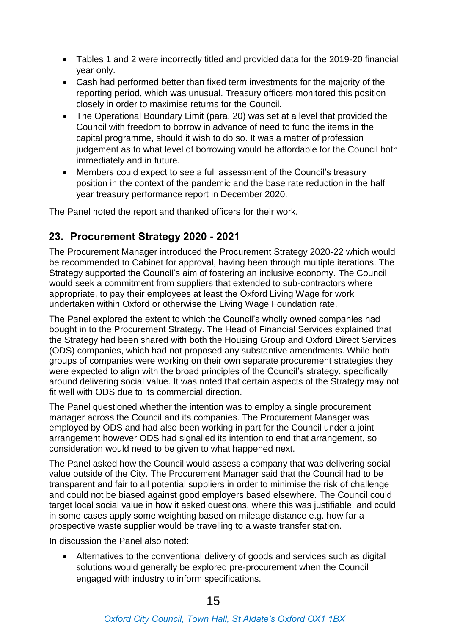- Tables 1 and 2 were incorrectly titled and provided data for the 2019-20 financial year only.
- Cash had performed better than fixed term investments for the majority of the reporting period, which was unusual. Treasury officers monitored this position closely in order to maximise returns for the Council.
- The Operational Boundary Limit (para. 20) was set at a level that provided the Council with freedom to borrow in advance of need to fund the items in the capital programme, should it wish to do so. It was a matter of profession judgement as to what level of borrowing would be affordable for the Council both immediately and in future.
- Members could expect to see a full assessment of the Council's treasury position in the context of the pandemic and the base rate reduction in the half year treasury performance report in December 2020.

The Panel noted the report and thanked officers for their work.

#### **23. Procurement Strategy 2020 - 2021**

The Procurement Manager introduced the Procurement Strategy 2020-22 which would be recommended to Cabinet for approval, having been through multiple iterations. The Strategy supported the Council's aim of fostering an inclusive economy. The Council would seek a commitment from suppliers that extended to sub-contractors where appropriate, to pay their employees at least the Oxford Living Wage for work undertaken within Oxford or otherwise the Living Wage Foundation rate.

The Panel explored the extent to which the Council's wholly owned companies had bought in to the Procurement Strategy. The Head of Financial Services explained that the Strategy had been shared with both the Housing Group and Oxford Direct Services (ODS) companies, which had not proposed any substantive amendments. While both groups of companies were working on their own separate procurement strategies they were expected to align with the broad principles of the Council's strategy, specifically around delivering social value. It was noted that certain aspects of the Strategy may not fit well with ODS due to its commercial direction.

The Panel questioned whether the intention was to employ a single procurement manager across the Council and its companies. The Procurement Manager was employed by ODS and had also been working in part for the Council under a joint arrangement however ODS had signalled its intention to end that arrangement, so consideration would need to be given to what happened next.

The Panel asked how the Council would assess a company that was delivering social value outside of the City. The Procurement Manager said that the Council had to be transparent and fair to all potential suppliers in order to minimise the risk of challenge and could not be biased against good employers based elsewhere. The Council could target local social value in how it asked questions, where this was justifiable, and could in some cases apply some weighting based on mileage distance e.g. how far a prospective waste supplier would be travelling to a waste transfer station.

In discussion the Panel also noted:

 Alternatives to the conventional delivery of goods and services such as digital solutions would generally be explored pre-procurement when the Council engaged with industry to inform specifications.